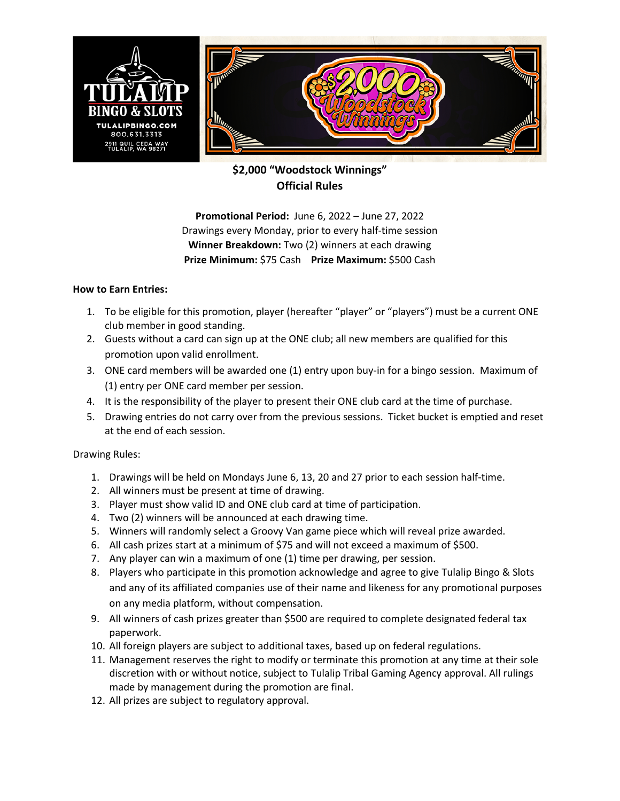

**\$2,000 "Woodstock Winnings" Official Rules**

**Promotional Period:** June 6, 2022 – June 27, 2022 Drawings every Monday, prior to every half-time session **Winner Breakdown:** Two (2) winners at each drawing **Prize Minimum:** \$75 Cash **Prize Maximum:** \$500 Cash

## **How to Earn Entries:**

- 1. To be eligible for this promotion, player (hereafter "player" or "players") must be a current ONE club member in good standing.
- 2. Guests without a card can sign up at the ONE club; all new members are qualified for this promotion upon valid enrollment.
- 3. ONE card members will be awarded one (1) entry upon buy-in for a bingo session. Maximum of (1) entry per ONE card member per session.
- 4. It is the responsibility of the player to present their ONE club card at the time of purchase.
- 5. Drawing entries do not carry over from the previous sessions. Ticket bucket is emptied and reset at the end of each session.

Drawing Rules:

- 1. Drawings will be held on Mondays June 6, 13, 20 and 27 prior to each session half-time.
- 2. All winners must be present at time of drawing.
- 3. Player must show valid ID and ONE club card at time of participation.
- 4. Two (2) winners will be announced at each drawing time.
- 5. Winners will randomly select a Groovy Van game piece which will reveal prize awarded.
- 6. All cash prizes start at a minimum of \$75 and will not exceed a maximum of \$500.
- 7. Any player can win a maximum of one (1) time per drawing, per session.
- 8. Players who participate in this promotion acknowledge and agree to give Tulalip Bingo & Slots and any of its affiliated companies use of their name and likeness for any promotional purposes on any media platform, without compensation.
- 9. All winners of cash prizes greater than \$500 are required to complete designated federal tax paperwork.
- 10. All foreign players are subject to additional taxes, based up on federal regulations.
- 11. Management reserves the right to modify or terminate this promotion at any time at their sole discretion with or without notice, subject to Tulalip Tribal Gaming Agency approval. All rulings made by management during the promotion are final.
- 12. All prizes are subject to regulatory approval.